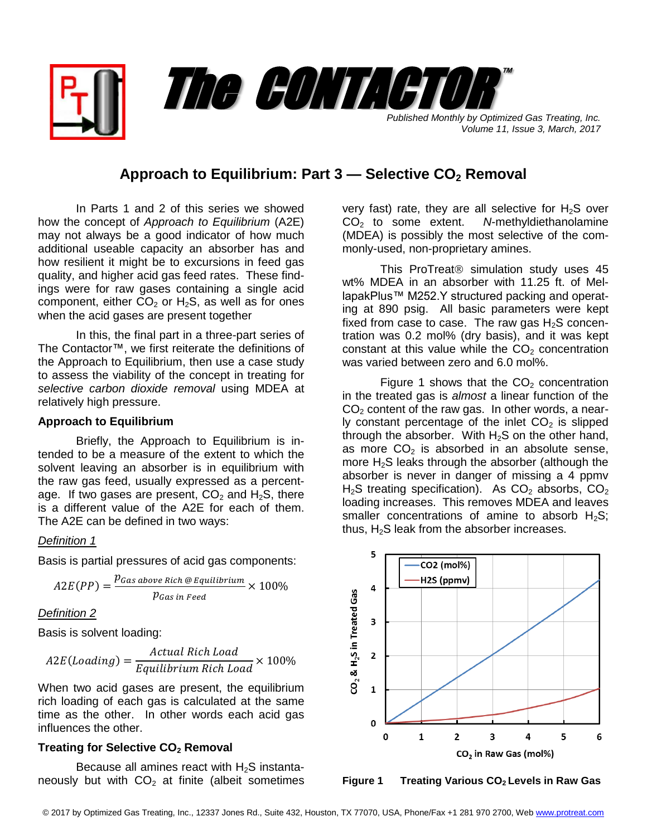*Published Monthly by Optimized Gas Treating, Inc. Volume 11, Issue 3, March, 2017*

™

# **Approach to Equilibrium: Part 3 — Selective CO<sup>2</sup> Removal**

The CONTACTO

In Parts 1 and 2 of this series we showed how the concept of *Approach to Equilibrium* (A2E) may not always be a good indicator of how much additional useable capacity an absorber has and how resilient it might be to excursions in feed gas quality, and higher acid gas feed rates. These findings were for raw gases containing a single acid component, either  $CO<sub>2</sub>$  or  $H<sub>2</sub>S$ , as well as for ones when the acid gases are present together

In this, the final part in a three-part series of The Contactor™, we first reiterate the definitions of the Approach to Equilibrium, then use a case study to assess the viability of the concept in treating for *selective carbon dioxide removal* using MDEA at relatively high pressure.

### **Approach to Equilibrium**

Briefly, the Approach to Equilibrium is intended to be a measure of the extent to which the solvent leaving an absorber is in equilibrium with the raw gas feed, usually expressed as a percentage. If two gases are present,  $CO<sub>2</sub>$  and  $H<sub>2</sub>S$ , there is a different value of the A2E for each of them. The A2E can be defined in two ways:

### *Definition 1*

Basis is partial pressures of acid gas components:

$$
A2E(PP) = \frac{p_{Gas\ above\ Rich\ @\ Equilibrium}}{p_{Gas\ in\ Feed}} \times 100\%
$$

### *Definition 2*

Basis is solvent loading:

$$
A2E (loading) = \frac{Actual \, Rich \, Load}{Equilibrium \, Rich \, Load} \times 100\%
$$

When two acid gases are present, the equilibrium rich loading of each gas is calculated at the same time as the other. In other words each acid gas influences the other.

## **Treating for Selective CO<sup>2</sup> Removal**

Because all amines react with  $H_2S$  instantaneously but with  $CO<sub>2</sub>$  at finite (albeit sometimes very fast) rate, they are all selective for  $H_2S$  over  $CO<sub>2</sub>$  to some extent. N-methyldiethanolamine CO<sub>2</sub> to some extent. (MDEA) is possibly the most selective of the commonly-used, non-proprietary amines.

This ProTreat $@$  simulation study uses  $45$ wt% MDEA in an absorber with 11.25 ft. of MellapakPlus™ M252.Y structured packing and operating at 890 psig. All basic parameters were kept fixed from case to case. The raw gas  $H_2S$  concentration was 0.2 mol% (dry basis), and it was kept constant at this value while the  $CO<sub>2</sub>$  concentration was varied between zero and 6.0 mol%.

Figure 1 shows that the  $CO<sub>2</sub>$  concentration in the treated gas is *almost* a linear function of the  $CO<sub>2</sub>$  content of the raw gas. In other words, a nearly constant percentage of the inlet  $CO<sub>2</sub>$  is slipped through the absorber. With  $H_2S$  on the other hand, as more  $CO<sub>2</sub>$  is absorbed in an absolute sense, more  $H_2S$  leaks through the absorber (although the absorber is never in danger of missing a 4 ppmv H<sub>2</sub>S treating specification). As  $CO<sub>2</sub>$  absorbs,  $CO<sub>2</sub>$ loading increases. This removes MDEA and leaves smaller concentrations of amine to absorb  $H_2S$ ; thus,  $H_2S$  leak from the absorber increases.



**Figure 1 Treating Various CO2 Levels in Raw Gas**